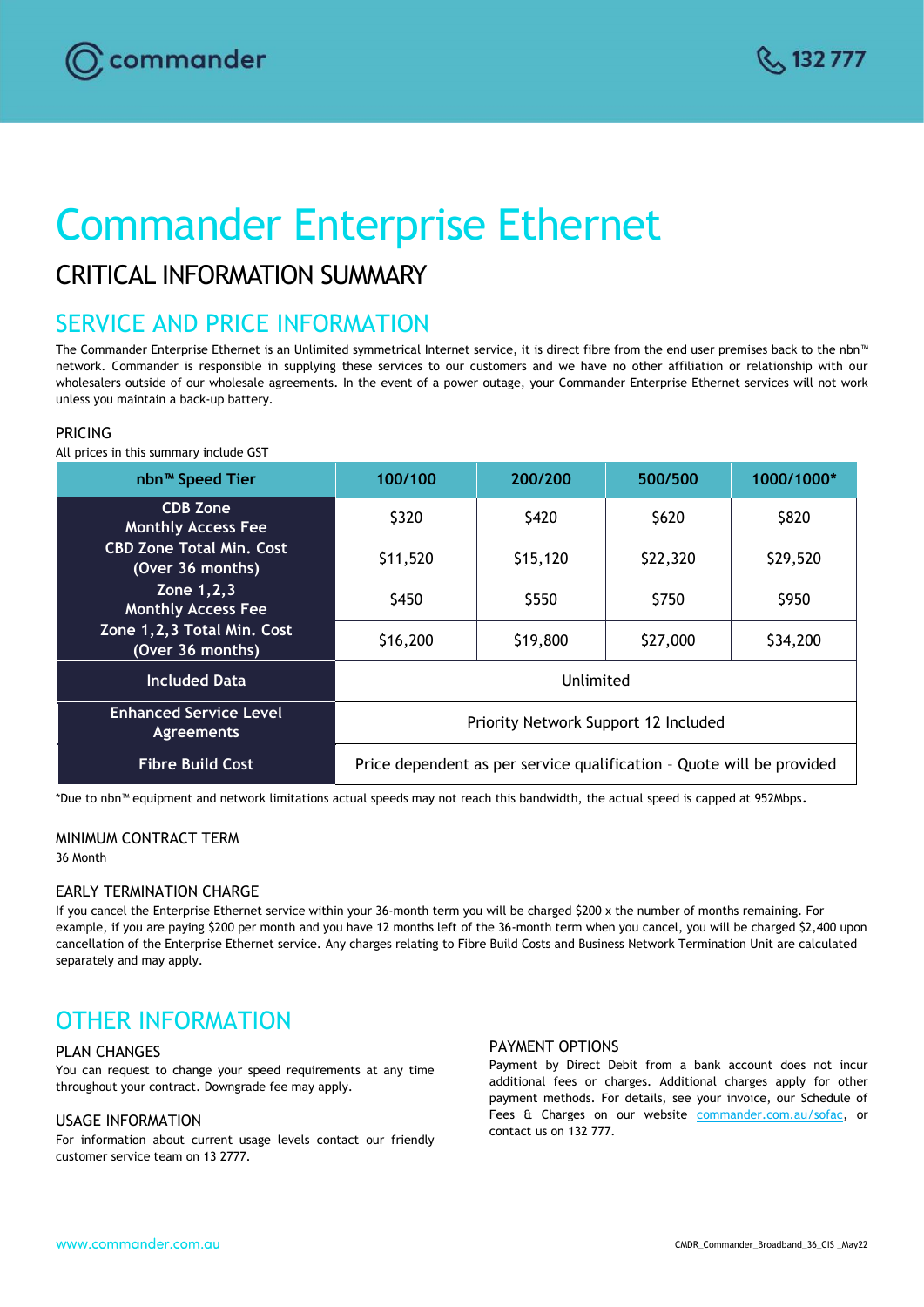# Commander Enterprise Ethernet

# CRITICAL INFORMATION SUMMARY

# SERVICE AND PRICE INFORMATION

The Commander Enterprise Ethernet is an Unlimited symmetrical Internet service, it is direct fibre from the end user premises back to the nbn™ network. Commander is responsible in supplying these services to our customers and we have no other affiliation or relationship with our wholesalers outside of our wholesale agreements. In the event of a power outage, your Commander Enterprise Ethernet services will not work unless you maintain a back-up battery.

# PRICING

All prices in this summary include GST

| nbn <sup>™</sup> Speed Tier                         | 100/100                                                               | 200/200  | 500/500  | 1000/1000* |
|-----------------------------------------------------|-----------------------------------------------------------------------|----------|----------|------------|
| <b>CDB Zone</b><br><b>Monthly Access Fee</b>        | \$320                                                                 | \$420    | \$620    | \$820      |
| <b>CBD Zone Total Min. Cost</b><br>(Over 36 months) | \$11,520                                                              | \$15,120 | \$22,320 | \$29,520   |
| Zone 1, 2, 3<br><b>Monthly Access Fee</b>           | \$450                                                                 | \$550    | \$750    | \$950      |
| Zone 1,2,3 Total Min. Cost<br>(Over 36 months)      | \$16,200                                                              | \$19,800 | \$27,000 | \$34,200   |
| <b>Included Data</b>                                | Unlimited                                                             |          |          |            |
| <b>Enhanced Service Level</b><br><b>Agreements</b>  | Priority Network Support 12 Included                                  |          |          |            |
| <b>Fibre Build Cost</b>                             | Price dependent as per service qualification - Quote will be provided |          |          |            |

\*Due to nbn™ equipment and network limitations actual speeds may not reach this bandwidth, the actual speed is capped at 952Mbps.

# MINIMUM CONTRACT TERM

36 Month

## EARLY TERMINATION CHARGE

If you cancel the Enterprise Ethernet service within your 36-month term you will be charged \$200 x the number of months remaining. For example, if you are paying \$200 per month and you have 12 months left of the 36-month term when you cancel, you will be charged \$2,400 upon cancellation of the Enterprise Ethernet service. Any charges relating to Fibre Build Costs and Business Network Termination Unit are calculated separately and may apply.

# OTHER INFORMATION

## PLAN CHANGES

You can request to change your speed requirements at any time throughout your contract. Downgrade fee may apply.

## USAGE INFORMATION

For information about current usage levels contact our friendly customer service team on 13 2777.

#### PAYMENT OPTIONS

Payment by Direct Debit from a bank account does not incur additional fees or charges. Additional charges apply for other payment methods. For details, see your invoice, our Schedule of Fees & Charges on our website [commander.com.au/sofac,](file:///C:/Users/corinne.fobert.VOCUS/AppData/Local/Microsoft/Windows/INetCache/Content.Outlook/DTJANF5A/commander.com.au/sofac) or contact us on 132 777.